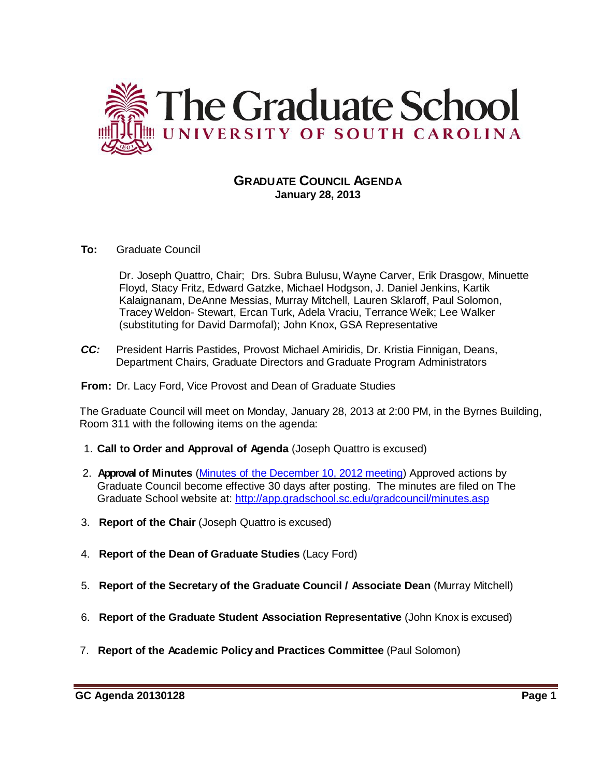

## **GRADUATE COUNCIL AGENDA January 28, 2013**

**To:** Graduate Council

Dr. Joseph Quattro, Chair; Drs. Subra Bulusu, Wayne Carver, Erik Drasgow, Minuette Floyd, Stacy Fritz, Edward Gatzke, Michael Hodgson, J. Daniel Jenkins, Kartik Kalaignanam, DeAnne Messias, Murray Mitchell, Lauren Sklaroff, Paul Solomon, Tracey Weldon- Stewart, Ercan Turk, Adela Vraciu, Terrance Weik; Lee Walker (substituting for David Darmofal); John Knox, GSA Representative

*CC:* President Harris Pastides, Provost Michael Amiridis, Dr. Kristia Finnigan, Deans, Department Chairs, Graduate Directors and Graduate Program Administrators

**From:** Dr. Lacy Ford, Vice Provost and Dean of Graduate Studies

The Graduate Council will meet on Monday, January 28, 2013 at 2:00 PM, in the Byrnes Building, Room 311 with the following items on the agenda:

- 1. **Call to Order and Approval of Agenda** (Joseph Quattro is excused)
- 2. **Approval of Minutes** (Minutes of the [December](http://gradschool.sc.edu/facstaff/gradcouncil/2012/Graduate%20Council%20Minutes%2012%2010%2012.pdf) 10, 2012 meeting) Approved actions by Graduate Council become effective 30 days after posting. The minutes are filed on The Graduate School website at:<http://app.gradschool.sc.edu/gradcouncil/minutes.asp>
- 3. **Report of the Chair** (Joseph Quattro is excused)
- 4. **Report of the Dean of Graduate Studies** (Lacy Ford)
- 5. **Report of the Secretary of the Graduate Council / Associate Dean** (Murray Mitchell)
- 6. **Report of the Graduate Student Association Representative** (John Knox is excused)
- 7. **Report of the Academic Policy and Practices Committee** (Paul Solomon)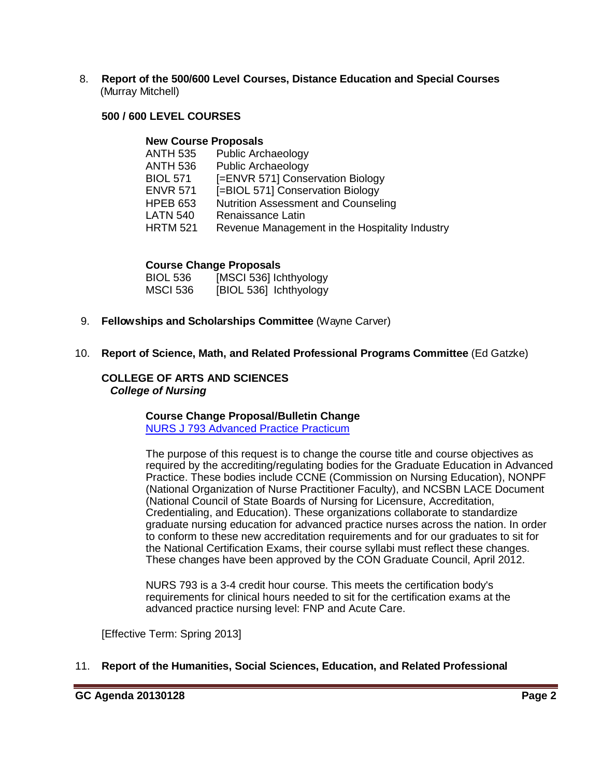8. **Report of the 500/600 Level Courses, Distance Education and Special Courses** (Murray Mitchell)

## **500 / 600 LEVEL COURSES**

#### **New Course Proposals**

| ANTH 535        | <b>Public Archaeology</b>                      |
|-----------------|------------------------------------------------|
| ANTH 536        | <b>Public Archaeology</b>                      |
| <b>BIOL 571</b> | [=ENVR 571] Conservation Biology               |
| <b>ENVR 571</b> | [=BIOL 571] Conservation Biology               |
| HPEB 653        | <b>Nutrition Assessment and Counseling</b>     |
| LATN 540        | Renaissance Latin                              |
| HRTM 521        | Revenue Management in the Hospitality Industry |
|                 |                                                |

## **Course Change Proposals**

| BIOL 536 | [MSCI 536] Ichthyology |
|----------|------------------------|
| MSCI 536 | [BIOL 536] Ichthyology |

9. **Fellowships and Scholarships Committee** (Wayne Carver)

## 10. **Report of Science, Math, and Related Professional Programs Committee** (Ed Gatzke)

## **COLLEGE OF ARTS AND SCIENCES** *College of Nursing*

## **Course Change Proposal/Bulletin Change**

[NURS J 793 Advanced Practice Practicum](http://gradschool.sc.edu/facstaff/gradcouncil/2012/NURS%20J%20793%20Advanced%20Practice%20Practicum%20CCP%20_Redacted.pdf)

The purpose of this request is to change the course title and course objectives as required by the accrediting/regulating bodies for the Graduate Education in Advanced Practice. These bodies include CCNE (Commission on Nursing Education), NONPF (National Organization of Nurse Practitioner Faculty), and NCSBN LACE Document (National Council of State Boards of Nursing for Licensure, Accreditation, Credentialing, and Education). These organizations collaborate to standardize graduate nursing education for advanced practice nurses across the nation. In order to conform to these new accreditation requirements and for our graduates to sit for the National Certification Exams, their course syllabi must reflect these changes. These changes have been approved by the CON Graduate Council, April 2012.

NURS 793 is a 3-4 credit hour course. This meets the certification body's requirements for clinical hours needed to sit for the certification exams at the advanced practice nursing level: FNP and Acute Care.

[Effective Term: Spring 2013]

#### 11. **Report of the Humanities, Social Sciences, Education, and Related Professional**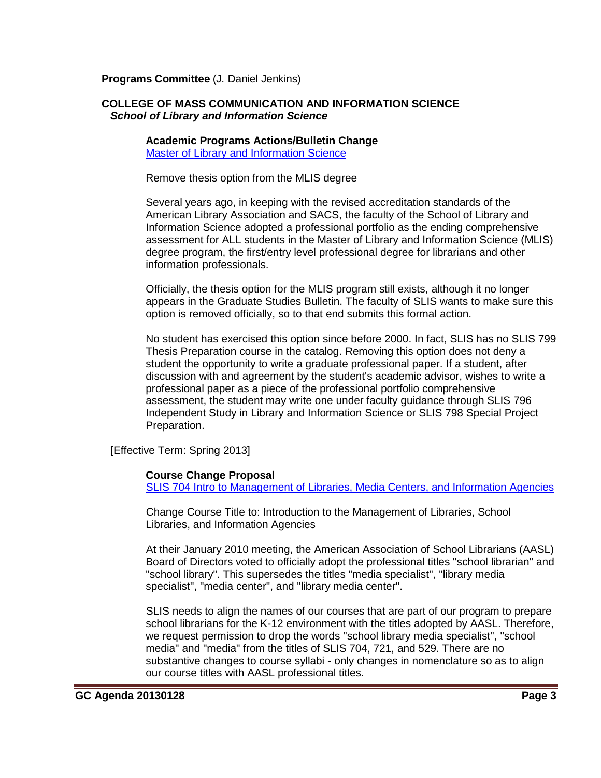**Programs Committee** (J. Daniel Jenkins)

#### **COLLEGE OF MASS COMMUNICATION AND INFORMATION SCIENCE** *School of Library and Information Science*

**Academic Programs Actions/Bulletin Change** [Master of Library and Information Science](http://gradschool.sc.edu/facstaff/gradcouncil/2012/CMCIS%20SLIS%20Master%20of%20Library%20and%20Information%20Science%20APA%20BC_Redacted.pdf)

Remove thesis option from the MLIS degree

Several years ago, in keeping with the revised accreditation standards of the American Library Association and SACS, the faculty of the School of Library and Information Science adopted a professional portfolio as the ending comprehensive assessment for ALL students in the Master of Library and Information Science (MLIS) degree program, the first/entry level professional degree for librarians and other information professionals.

Officially, the thesis option for the MLIS program still exists, although it no longer appears in the Graduate Studies Bulletin. The faculty of SLIS wants to make sure this option is removed officially, so to that end submits this formal action.

No student has exercised this option since before 2000. In fact, SLIS has no SLIS 799 Thesis Preparation course in the catalog. Removing this option does not deny a student the opportunity to write a graduate professional paper. If a student, after discussion with and agreement by the student's academic advisor, wishes to write a professional paper as a piece of the professional portfolio comprehensive assessment, the student may write one under faculty guidance through SLIS 796 Independent Study in Library and Information Science or SLIS 798 Special Project Preparation.

[Effective Term: Spring 2013]

#### **Course Change Proposal**

SLIS 704 [Intro to Management of Libraries, Media Centers, and Information Agencies](http://gradschool.sc.edu/facstaff/gradcouncil/2012/SLIS%20704%20Intro%20to%20Management%20of%20Libraries,%20Media%20Centers,%20and%20Information%20Agencies%20CCP_Redacted.pdf)

Change Course Title to: Introduction to the Management of Libraries, School Libraries, and Information Agencies

At their January 2010 meeting, the American Association of School Librarians (AASL) Board of Directors voted to officially adopt the professional titles "school librarian" and "school library". This supersedes the titles "media specialist", "library media specialist", "media center", and "library media center".

SLIS needs to align the names of our courses that are part of our program to prepare school librarians for the K-12 environment with the titles adopted by AASL. Therefore, we request permission to drop the words "school library media specialist", "school media" and "media" from the titles of SLIS 704, 721, and 529. There are no substantive changes to course syllabi - only changes in nomenclature so as to align our course titles with AASL professional titles.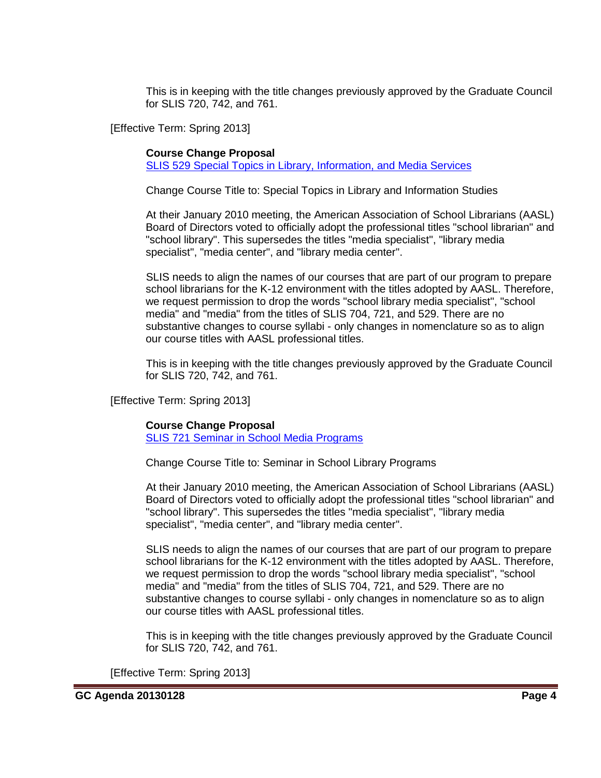This is in keeping with the title changes previously approved by the Graduate Council for SLIS 720, 742, and 761.

[Effective Term: Spring 2013]

## **Course Change Proposal**

[SLIS 529 Special Topics in Library, Information, and Media Services](http://gradschool.sc.edu/facstaff/gradcouncil/2012/SLIS%20529%20Special%20Topics%20in%20Library,%20Information%20and%20Media%20Services%20CCP_Redacted.pdf)

Change Course Title to: Special Topics in Library and Information Studies

At their January 2010 meeting, the American Association of School Librarians (AASL) Board of Directors voted to officially adopt the professional titles "school librarian" and "school library". This supersedes the titles "media specialist", "library media specialist", "media center", and "library media center".

SLIS needs to align the names of our courses that are part of our program to prepare school librarians for the K-12 environment with the titles adopted by AASL. Therefore, we request permission to drop the words "school library media specialist", "school media" and "media" from the titles of SLIS 704, 721, and 529. There are no substantive changes to course syllabi - only changes in nomenclature so as to align our course titles with AASL professional titles.

This is in keeping with the title changes previously approved by the Graduate Council for SLIS 720, 742, and 761.

[Effective Term: Spring 2013]

#### **Course Change Proposal**

[SLIS 721 Seminar in School Media Programs](http://gradschool.sc.edu/facstaff/gradcouncil/2012/SLIS%20721%20Seminar%20in%20School%20Media%20Programs%20CCP_Redacted.pdf)

Change Course Title to: Seminar in School Library Programs

At their January 2010 meeting, the American Association of School Librarians (AASL) Board of Directors voted to officially adopt the professional titles "school librarian" and "school library". This supersedes the titles "media specialist", "library media specialist", "media center", and "library media center".

SLIS needs to align the names of our courses that are part of our program to prepare school librarians for the K-12 environment with the titles adopted by AASL. Therefore, we request permission to drop the words "school library media specialist", "school media" and "media" from the titles of SLIS 704, 721, and 529. There are no substantive changes to course syllabi - only changes in nomenclature so as to align our course titles with AASL professional titles.

This is in keeping with the title changes previously approved by the Graduate Council for SLIS 720, 742, and 761.

[Effective Term: Spring 2013]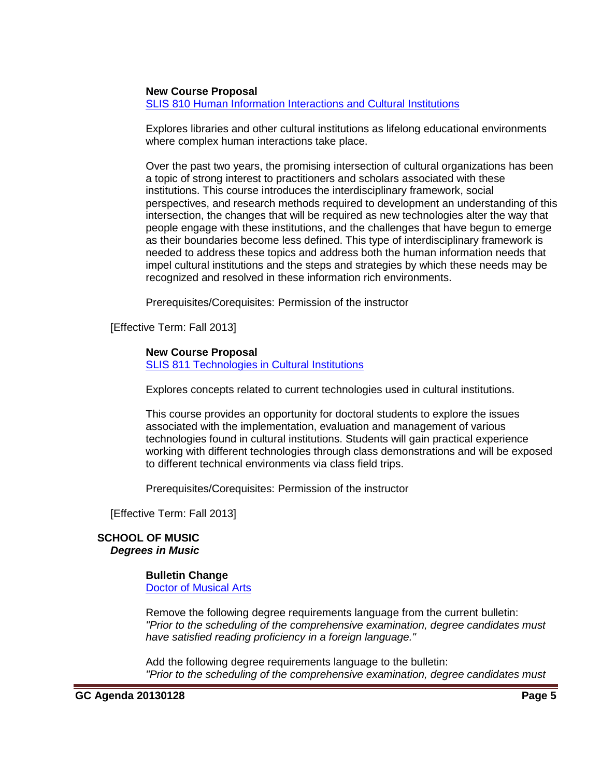#### **New Course Proposal**

[SLIS 810 Human Information Interactions and Cultural Institutions](http://gradschool.sc.edu/facstaff/gradcouncil/2012/SLIS%20810%20Human%20Information%20Interactions%20and%20Cultural%20Institutions%20NCP_Redacted.pdf)

Explores libraries and other cultural institutions as lifelong educational environments where complex human interactions take place.

Over the past two years, the promising intersection of cultural organizations has been a topic of strong interest to practitioners and scholars associated with these institutions. This course introduces the interdisciplinary framework, social perspectives, and research methods required to development an understanding of this intersection, the changes that will be required as new technologies alter the way that people engage with these institutions, and the challenges that have begun to emerge as their boundaries become less defined. This type of interdisciplinary framework is needed to address these topics and address both the human information needs that impel cultural institutions and the steps and strategies by which these needs may be recognized and resolved in these information rich environments.

Prerequisites/Corequisites: Permission of the instructor

[Effective Term: Fall 2013]

## **New Course Proposal**

SLIS 811 [Technologies in Cultural Institutions](http://gradschool.sc.edu/facstaff/gradcouncil/2012/SLIS%20811%20Technologies%20in%20Cultural%20Institutions%20NCP%20updated_Redacted.pdf)

Explores concepts related to current technologies used in cultural institutions.

This course provides an opportunity for doctoral students to explore the issues associated with the implementation, evaluation and management of various technologies found in cultural institutions. Students will gain practical experience working with different technologies through class demonstrations and will be exposed to different technical environments via class field trips.

Prerequisites/Corequisites: Permission of the instructor

[Effective Term: Fall 2013]

#### **SCHOOL OF MUSIC** *Degrees in Music*

## **Bulletin Change**

[Doctor of Musical Arts](http://gradschool.sc.edu/facstaff/gradcouncil/2012/MUSIC%20Doctor%20of%20Musical%20Arts%20Degrees%20except%20DMA%20Voice%20Performance.pdf)

Remove the following degree requirements language from the current bulletin: *"Prior to the scheduling of the comprehensive examination, degree candidates must have satisfied reading proficiency in a foreign language."*

Add the following degree requirements language to the bulletin: *"Prior to the scheduling of the comprehensive examination, degree candidates must*